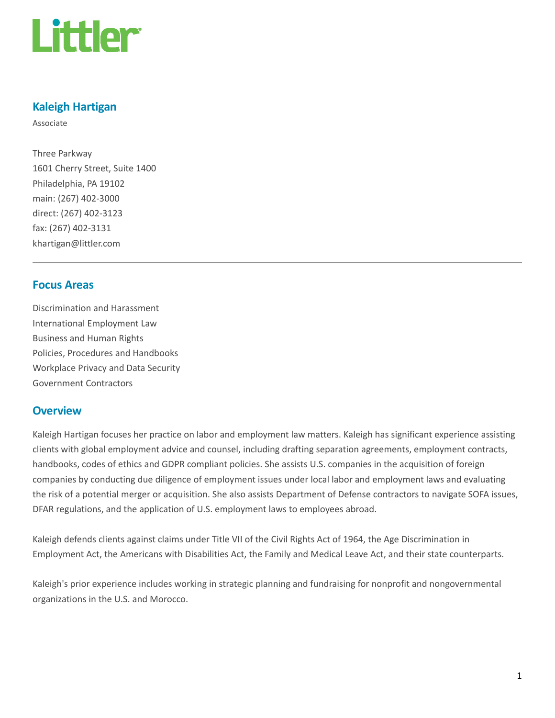

### Kaleigh Hartigan

Associate

Three Parkway 1601 Cherry Street, Suite 1400 Philadelphia, PA 19102 main: (267) 402-3000 direct: (267) 402-3123 fax: (267) 402-3131 khartigan@littler.com

### Focus Areas

Discrimination and Harassment International Employment Law Business and Human Rights Policies, Procedures and Handbooks Workplace Privacy and Data Security Government Contractors

### **Overview**

Kaleigh Hartigan focuses her practice on labor and employment law matters. Kaleigh has significant experience assisting clients with global employment advice and counsel, including drafting separation agreements, employment contracts, handbooks, codes of ethics and GDPR compliant policies. She assists U.S. companies in the acquisition of foreign companies by conducting due diligence of employment issues under local labor and employment laws and evaluating the risk of a potential merger or acquisition. She also assists Department of Defense contractors to navigate SOFA issues, DFAR regulations, and the application of U.S. employment laws to employees abroad.

Kaleigh defends clients against claims under Title VII of the Civil Rights Act of 1964, the Age Discrimination in Employment Act, the Americans with Disabilities Act, the Family and Medical Leave Act, and their state counterparts.

Kaleigh's prior experience includes working in strategic planning and fundraising for nonprofit and nongovernmental organizations in the U.S. and Morocco.